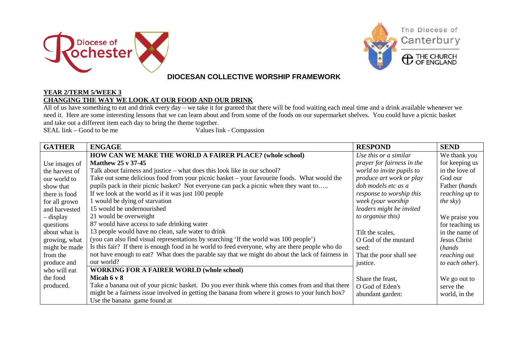



## **DIOCESAN COLLECTIVE WORSHIP FRAMEWORK**

## **YEAR 2/TERM 5/WEEK 3 CHANGING THE WAY WE LOOK AT OUR FOOD AND OUR DRINK**

All of us have something to eat and drink every day – we take it for granted that there will be food waiting each meal time and a drink available whenever we need it. Here are some interesting lessons that we can learn about and from some of the foods on our supermarket shelves. You could have a picnic basket and take out a different item each day to bring the theme together.<br>SEAL link – Good to be me

Values link - Compassion

| <b>GATHER</b>  | <b>ENGAGE</b>                                                                                    | <b>RESPOND</b>             | <b>SEND</b>      |
|----------------|--------------------------------------------------------------------------------------------------|----------------------------|------------------|
|                | HOW CAN WE MAKE THE WORLD A FAIRER PLACE? (whole school)                                         | Use this or a similar      | We thank you     |
| Use images of  | <b>Matthew 25 v 37-45</b>                                                                        | prayer for fairness in the | for keeping us   |
| the harvest of | Talk about fairness and justice – what does this look like in our school?                        | world to invite pupils to  | in the love of   |
| our world to   | Take out some delicious food from your picnic basket – your favourite foods. What would the      | produce art work or play   | God our          |
| show that      | pupils pack in their picnic basket? Not everyone can pack a picnic when they want to             | doh models etc as a        | Father (hands    |
| there is food  | If we look at the world as if it was just 100 people                                             | response to worship this   | reaching up to   |
| for all grown  | 1 would be dying of starvation                                                                   | week (your worship         | <i>the sky</i> ) |
| and harvested  | 15 would be undernourished                                                                       | leaders might be invited   |                  |
| – display      | 21 would be overweight                                                                           | to organise this)          | We praise you    |
| questions      | 87 would have access to safe drinking water                                                      |                            | for teaching us  |
| about what is  | 13 people would have no clean, safe water to drink                                               | Tilt the scales,           | in the name of   |
| growing, what  | (you can also find visual representations by searching 'If the world was 100 people')            | O God of the mustard       | Jesus Christ     |
| might be made  | Is this fair? If there is enough food in he world to feed everyone, why are there people who do  | seed:                      | (hands)          |
| from the       | not have enough to eat? What does the parable say that we might do about the lack of fairness in | That the poor shall see    | reaching out     |
| produce and    | our world?                                                                                       | justice.                   | to each other).  |
| who will eat   | <b>WORKING FOR A FAIRER WORLD (whole school)</b>                                                 |                            |                  |
| the food       | Micah $6 \text{ v } 8$                                                                           | Share the feast,           | We go out to     |
| produced.      | Take a banana out of your picnic basket. Do you ever think where this comes from and that there  | O God of Eden's            | serve the        |
|                | might be a fairness issue involved in getting the banana from where it grows to your lunch box?  | abundant garden:           | world, in the    |
|                | Use the banana game found at                                                                     |                            |                  |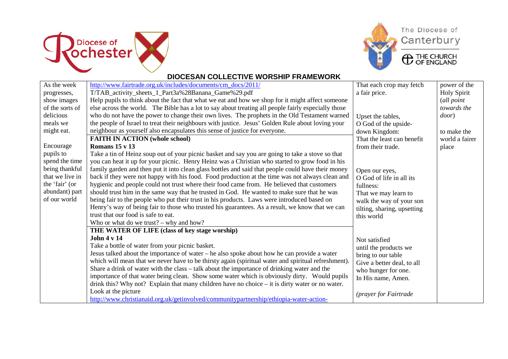



The Diocese of Canterbury

**ED** THE CHURCH

## **DIOCESAN COLLECTIVE WORSHIP FRAMEWORK**

| As the week     | http://www.fairtrade.org.uk/includes/documents/cm_docs/2011/                                        | That each crop may fetch    | power of the       |
|-----------------|-----------------------------------------------------------------------------------------------------|-----------------------------|--------------------|
| progresses,     | T/TAB_activity_sheets_1_Part3a%28Banana_Game%29.pdf                                                 | a fair price.               | <b>Holy Spirit</b> |
| show images     | Help pupils to think about the fact that what we eat and how we shop for it might affect someone    |                             | (all point         |
| of the sorts of | else across the world. The Bible has a lot to say about treating all people fairly especially those |                             | towards the        |
| delicious       | who do not have the power to change their own lives. The prophets in the Old Testament warned       | Upset the tables,           | <i>door</i> )      |
| meals we        | the people of Israel to treat their neighbours with justice. Jesus' Golden Rule about loving your   | O God of the upside-        |                    |
| might eat.      | neighbour as yourself also encapsulates this sense of justice for everyone.                         | down Kingdom:               | to make the        |
|                 | <b>FAITH IN ACTION (whole school)</b>                                                               | That the least can benefit  | world a fairer     |
| Encourage       | Romans $15 \text{ v } 13$                                                                           | from their trade.           | place              |
| pupils to       | Take a tin of Heinz soup out of your picnic basket and say you are going to take a stove so that    |                             |                    |
| spend the time  | you can heat it up for your picnic. Henry Heinz was a Christian who started to grow food in his     |                             |                    |
| being thankful  | family garden and then put it into clean glass bottles and said that people could have their money  | Open our eyes,              |                    |
| that we live in | back if they were not happy with his food. Food production at the time was not always clean and     | O God of life in all its    |                    |
| the 'fair' (or  | hygienic and people could not trust where their food came from. He believed that customers          | fullness:                   |                    |
| abundant) part  | should trust him in the same way that he trusted in God. He wanted to make sure that he was         | That we may learn to        |                    |
| of our world    | being fair to the people who put their trust in his products. Laws were introduced based on         | walk the way of your son    |                    |
|                 | Henry's way of being fair to those who trusted his guarantees. As a result, we know that we can     | tilting, sharing, upsetting |                    |
|                 | trust that our food is safe to eat.                                                                 | this world                  |                    |
|                 | Who or what do we trust? – why and how?                                                             |                             |                    |
|                 | THE WATER OF LIFE (class of key stage worship)                                                      |                             |                    |
|                 | <b>John 4 v 14</b>                                                                                  | Not satisfied               |                    |
|                 | Take a bottle of water from your picnic basket.                                                     | until the products we       |                    |
|                 | Jesus talked about the importance of water – he also spoke about how he can provide a water         | bring to our table          |                    |
|                 | which will mean that we never have to be thirsty again (spiritual water and spiritual refreshment). | Give a better deal, to all  |                    |
|                 | Share a drink of water with the class – talk about the importance of drinking water and the         | who hunger for one.         |                    |
|                 | importance of that water being clean. Show some water which is obviously dirty. Would pupils        | In His name, Amen.          |                    |
|                 | drink this? Why not? Explain that many children have no choice - it is dirty water or no water.     |                             |                    |
|                 | Look at the picture                                                                                 | (prayer for Fairtrade       |                    |
|                 | http://www.christianaid.org.uk/getinvolved/communitypartnership/ethiopia-water-action-              |                             |                    |